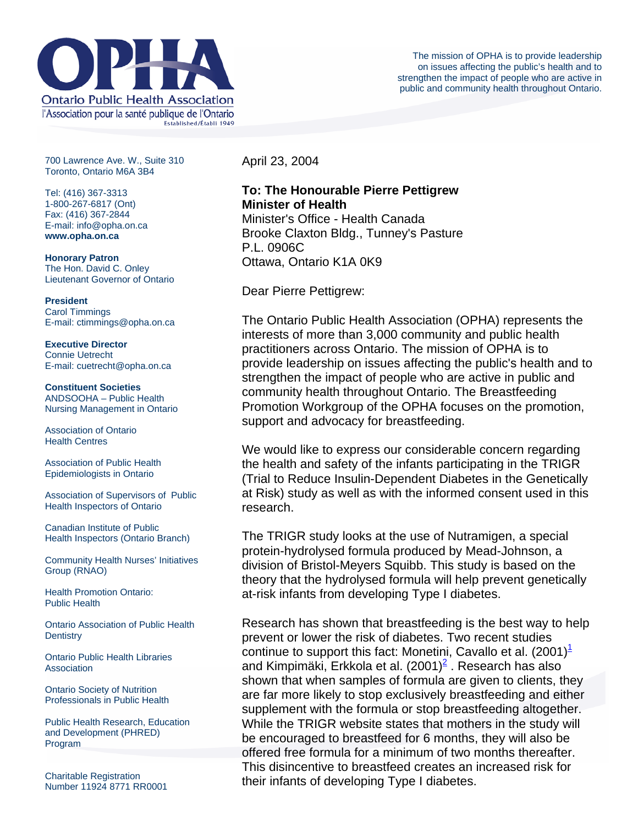

700 Lawrence Ave. W., Suite 310 Toronto, Ontario M6A 3B4

Tel: (416) 367-3313 1-800-267-6817 (Ont) Fax: (416) 367-2844 E-mail: info@opha.on.ca **www.opha.on.ca** 

**Honorary Patron**  The Hon. David C. Onley Lieutenant Governor of Ontario

**President**  Carol Timmings E-mail: ctimmings@opha.on.ca

**Executive Director**  Connie Uetrecht E-mail: cuetrecht@opha.on.ca

**Constituent Societies**  ANDSOOHA – Public Health Nursing Management in Ontario

Association of Ontario Health Centres

Association of Public Health Epidemiologists in Ontario

Association of Supervisors of Public Health Inspectors of Ontario

Canadian Institute of Public Health Inspectors (Ontario Branch)

Community Health Nurses' Initiatives Group (RNAO)

Health Promotion Ontario: Public Health

Ontario Association of Public Health **Dentistry** 

Ontario Public Health Libraries **Association** 

Ontario Society of Nutrition Professionals in Public Health

Public Health Research, Education and Development (PHRED) Program

Charitable Registration Number 11924 8771 RR0001 April 23, 2004

## **To: The Honourable Pierre Pettigrew Minister of Health**

Minister's Office - Health Canada Brooke Claxton Bldg., Tunney's Pasture P.L. 0906C Ottawa, Ontario K1A 0K9

Dear Pierre Pettigrew:

The Ontario Public Health Association (OPHA) represents the interests of more than 3,000 community and public health practitioners across Ontario. The mission of OPHA is to provide leadership on issues affecting the public's health and to strengthen the impact of people who are active in public and community health throughout Ontario. The Breastfeeding Promotion Workgroup of the OPHA focuses on the promotion, support and advocacy for breastfeeding.

We would like to express our considerable concern regarding the health and safety of the infants participating in the TRIGR (Trial to Reduce Insulin-Dependent Diabetes in the Genetically at Risk) study as well as with the informed consent used in this research.

The TRIGR study looks at the use of Nutramigen, a special protein-hydrolysed formula produced by Mead-Johnson, a division of Bristol-Meyers Squibb. This study is based on the theory that the hydrolysed formula will help prevent genetically at-risk infants from developing Type I diabetes.

Research has shown that breastfeeding is the best way to help prevent or lower the risk of diabetes. Two recent studies continue to support this fact: Monetini, Cavallo et al.  $(2001)^{\perp}$  $(2001)^{\perp}$  $(2001)^{\perp}$ and Kimpimäki, Erkkola et al. ([2](http://76.74.186.129/our_voice/letters/trigr.html#Erkkola#Erkkola)001) $^2$  . Research has also shown that when samples of formula are given to clients, they are far more likely to stop exclusively breastfeeding and either supplement with the formula or stop breastfeeding altogether. While the TRIGR website states that mothers in the study will be encouraged to breastfeed for 6 months, they will also be offered free formula for a minimum of two months thereafter. This disincentive to breastfeed creates an increased risk for their infants of developing Type I diabetes.